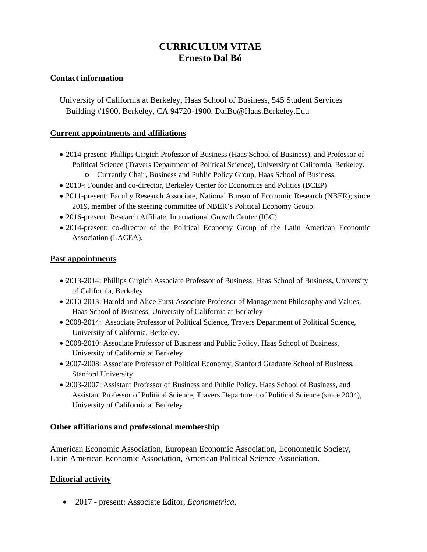# **CURRICULUM VITAE Ernesto Dal Bó**

#### **Contact information**

University of California at Berkeley, Haas School of Business, 545 Student Services Building #1900, Berkeley, CA 94720-1900. DalBo@Haas.Berkeley.Edu

#### **Current appointments and affiliations**

- 2014-present: Phillips Girgich Professor of Business (Haas School of Business), and Professor of Political Science (Travers Department of Political Science), University of California, Berkeley.
	- o Currently Chair, Business and Public Policy Group, Haas School of Business.
- 2010-: Founder and co-director, Berkeley Center for Economics and Politics (BCEP)
- 2011-present: Faculty Research Associate, National Bureau of Economic Research (NBER); since 2019, member of the steering committee of NBER's Political Economy Group.
- 2016-present: Research Affiliate, International Growth Center (IGC)
- 2014-present: co-director of the Political Economy Group of the Latin American Economic Association (LACEA).

#### **Past appointments**

- 2013-2014: Phillips Girgich Associate Professor of Business, Haas School of Business, University of California, Berkeley
- 2010-2013: Harold and Alice Furst Associate Professor of Management Philosophy and Values, Haas School of Business, University of California at Berkeley
- 2008-2014: Associate Professor of Political Science, Travers Department of Political Science, University of California, Berkeley.
- 2008-2010: Associate Professor of Business and Public Policy, Haas School of Business, University of California at Berkeley
- 2007-2008: Associate Professor of Political Economy, Stanford Graduate School of Business, Stanford University
- 2003-2007: Assistant Professor of Business and Public Policy, Haas School of Business, and Assistant Professor of Political Science, Travers Department of Political Science (since 2004), University of California at Berkeley

# **Other affiliations and professional membership**

American Economic Association, European Economic Association, Econometric Society, Latin American Economic Association, American Political Science Association.

# **Editorial activity**

• 2017 - present: Associate Editor, *Econometrica*.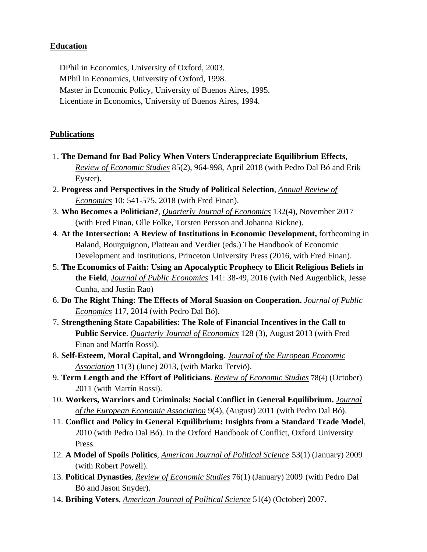# **Education**

DPhil in Economics, University of Oxford, 2003. MPhil in Economics, University of Oxford, 1998. Master in Economic Policy, University of Buenos Aires, 1995. Licentiate in Economics, University of Buenos Aires, 1994.

### **Publications**

- 1. **The Demand for Bad Policy When Voters Underappreciate Equilibrium Effects**, *Review of Economic Studies* 85(2), 964-998, April 2018 (with Pedro Dal Bó and Erik Eyster).
- 2. **Progress and Perspectives in the Study of Political Selection**, *Annual Review of Economics* 10: 541-575, 2018 (with Fred Finan).
- 3. **Who Becomes a Politician?**, *Quarterly Journal of Economics* 132(4), November 2017 (with Fred Finan, Olle Folke, Torsten Persson and Johanna Rickne).
- 4. **At the Intersection: A Review of Institutions in Economic Development,** forthcoming in Baland, Bourguignon, Platteau and Verdier (eds.) The Handbook of Economic Development and Institutions, Princeton University Press (2016, with Fred Finan).
- 5. **The Economics of Faith: Using an Apocalyptic Prophecy to Elicit Religious Beliefs in the Field**, *Journal of Public Economics* 141: 38-49, 2016 (with Ned Augenblick, Jesse Cunha, and Justin Rao)
- 6. **Do The Right Thing: The Effects of Moral Suasion on Cooperation.** *Journal of Public Economics* 117, 2014 (with Pedro Dal Bó).
- 7. **Strengthening State Capabilities: The Role of Financial Incentives in the Call to Public Service**. *Quarterly Journal of Economics* 128 (3), August 2013 (with Fred Finan and Martín Rossi).
- 8. **Self-Esteem, Moral Capital, and Wrongdoing**. *Journal of the European Economic Association* 11(3) (June) 2013, (with Marko Terviö).
- 9. **Term Length and the Effort of Politicians**. *Review of Economic Studies* 78(4) (October) 2011 (with Martín Rossi).
- 10. **Workers, Warriors and Criminals: Social Conflict in General Equilibrium.** *Journal of the European Economic Association* 9(4), (August) 2011 (with Pedro Dal Bó).
- 11. **Conflict and Policy in General Equilibrium: Insights from a Standard Trade Model**, 2010 (with Pedro Dal Bó). In the Oxford Handbook of Conflict, Oxford University Press.
- 12. **A Model of Spoils Politics**, *American Journal of Political Science* 53(1) (January) 2009 (with Robert Powell).
- 13. **Political Dynasties**, *Review of Economic Studies* 76(1) (January) 2009 (with Pedro Dal Bó and Jason Snyder).
- 14. **Bribing Voters**, *American Journal of Political Science* 51(4) (October) 2007.